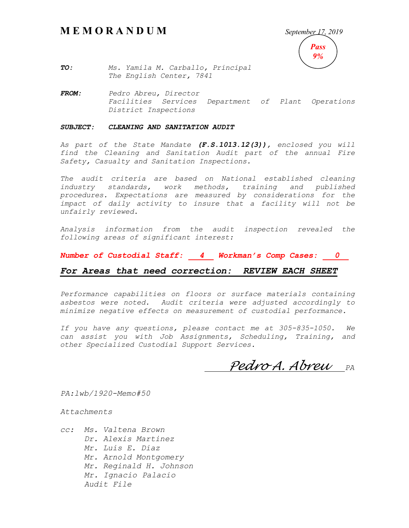# **M E M O R A N D U M** *September 17, 2019*



*TO: Ms. Yamila M. Carballo, Principal The English Center, 7841*

*FROM: Pedro Abreu, Director Facilities Services Department of Plant Operations District Inspections*

#### *SUBJECT: CLEANING AND SANITATION AUDIT*

*As part of the State Mandate (F.S.1013.12(3)), enclosed you will find the Cleaning and Sanitation Audit part of the annual Fire Safety, Casualty and Sanitation Inspections.*

*The audit criteria are based on National established cleaning industry standards, work methods, training and published procedures. Expectations are measured by considerations for the*  impact of daily activity to insure that a facility will not be *unfairly reviewed.*

*Analysis information from the audit inspection revealed the following areas of significant interest:*

*Number of Custodial Staff: 4 Workman's Comp Cases: 0*

### *For Areas that need correction: REVIEW EACH SHEET*

*Performance capabilities on floors or surface materials containing asbestos were noted. Audit criteria were adjusted accordingly to minimize negative effects on measurement of custodial performance.*

*If you have any questions, please contact me at 305-835-1050. We can assist you with Job Assignments, Scheduling, Training, and other Specialized Custodial Support Services.*

*Pedro A. Abreu PA*

*PA:lwb/1920-Memo#50*

*Attachments*

*cc: Ms. Valtena Brown Dr. Alexis Martinez Mr. Luis E. Diaz Mr. Arnold Montgomery Mr. Reginald H. Johnson Mr. Ignacio Palacio Audit File*